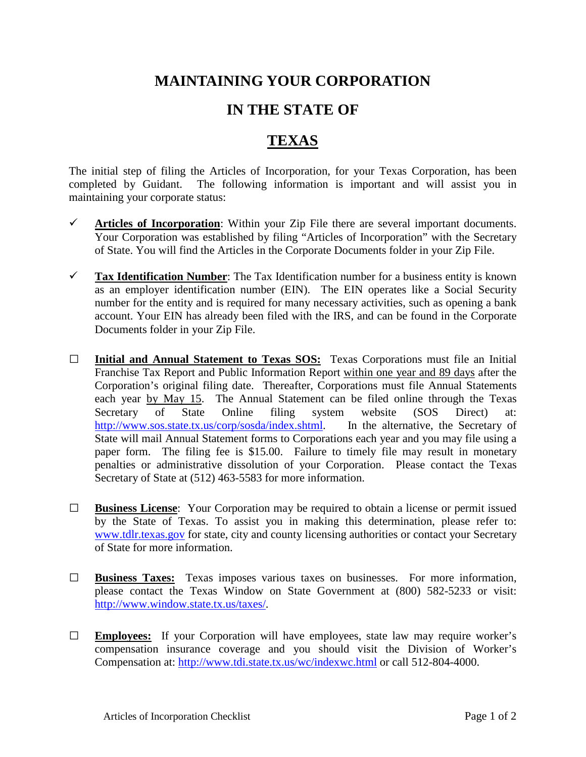## **MAINTAINING YOUR CORPORATION**

## **IN THE STATE OF**

## **TEXAS**

The initial step of filing the Articles of Incorporation, for your Texas Corporation, has been completed by Guidant. The following information is important and will assist you in maintaining your corporate status:

- $\checkmark$  Articles of Incorporation: Within your Zip File there are several important documents. Your Corporation was established by filing "Articles of Incorporation" with the Secretary of State. You will find the Articles in the Corporate Documents folder in your Zip File.
- **Tax Identification Number**: The Tax Identification number for a business entity is known as an employer identification number (EIN). The EIN operates like a Social Security number for the entity and is required for many necessary activities, such as opening a bank account. Your EIN has already been filed with the IRS, and can be found in the Corporate Documents folder in your Zip File.
- **□ Initial and Annual Statement to Texas SOS:** Texas Corporations must file an Initial Franchise Tax Report and Public Information Report within one year and 89 days after the Corporation's original filing date. Thereafter, Corporations must file Annual Statements each year by May 15. The Annual Statement can be filed online through the Texas Secretary of State Online filing system website (SOS Direct) at: [http://www.sos.state.tx.us/corp/sosda/index.shtml.](http://www.sos.state.tx.us/corp/sosda/index.shtml) In the alternative, the Secretary of State will mail Annual Statement forms to Corporations each year and you may file using a paper form. The filing fee is \$15.00. Failure to timely file may result in monetary penalties or administrative dissolution of your Corporation. Please contact the Texas Secretary of State at (512) 463-5583 for more information.
- **□ Business License**: Your Corporation may be required to obtain a license or permit issued by the State of Texas. To assist you in making this determination, please refer to: [www.tdlr.texas.gov](http://www.tdlr.texas.gov/) for state, city and county licensing authorities or contact your Secretary of State for more information.
- **□ Business Taxes:** Texas imposes various taxes on businesses. For more information, please contact the Texas Window on State Government at (800) 582-5233 or visit: [http://www.window.state.tx.us/taxes/.](http://www.window.state.tx.us/taxes/)
- **□ Employees:** If your Corporation will have employees, state law may require worker's compensation insurance coverage and you should visit the Division of Worker's Compensation at:<http://www.tdi.state.tx.us/wc/indexwc.html> or call 512-804-4000.